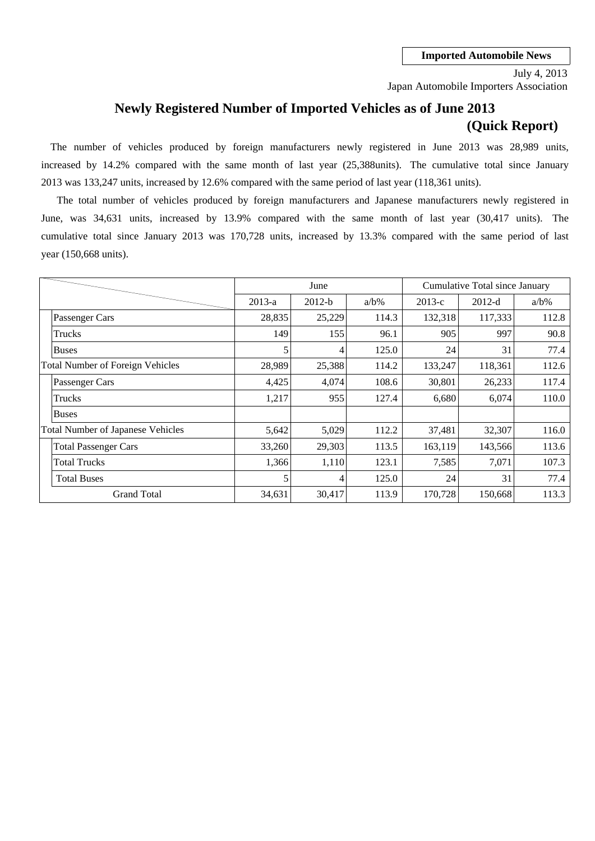Japan Automobile Importers Association July 4, 2013

## **Newly Registered Number of Imported Vehicles as of June 2013 (Quick Report)**

2013 was 133,247 units, increased by 12.6% compared with the same period of last year (118,361 units). The number of vehicles produced by foreign manufacturers newly registered in June 2013 was 28,989 units, increased by 14.2% compared with the same month of last year (25,388units). The cumulative total since January

cumulative total since January 2013 was 170,728 units, increased by 13.3% compared with the same period of last June, was 34,631 units, increased by 13.9% compared with the same month of last year (30,417 units). The year (150,668 units). The total number of vehicles produced by foreign manufacturers and Japanese manufacturers newly registered in

|                                          |          | June     |         |          | Cumulative Total since January |         |
|------------------------------------------|----------|----------|---------|----------|--------------------------------|---------|
|                                          | $2013-a$ | $2012-b$ | $a/b\%$ | $2013-c$ | $2012-d$                       | $a/b\%$ |
| Passenger Cars                           | 28,835   | 25,229   | 114.3   | 132,318  | 117,333                        | 112.8   |
| Trucks                                   | 149      | 155      | 96.1    | 905      | 997                            | 90.8    |
| <b>Buses</b>                             | 5        | 4        | 125.0   | 24       | 31                             | 77.4    |
| <b>Total Number of Foreign Vehicles</b>  | 28,989   | 25,388   | 114.2   | 133,247  | 118,361                        | 112.6   |
| Passenger Cars                           | 4,425    | 4,074    | 108.6   | 30,801   | 26,233                         | 117.4   |
| Trucks                                   | 1,217    | 955      | 127.4   | 6,680    | 6,074                          | 110.0   |
| <b>Buses</b>                             |          |          |         |          |                                |         |
| <b>Total Number of Japanese Vehicles</b> | 5,642    | 5,029    | 112.2   | 37,481   | 32,307                         | 116.0   |
| <b>Total Passenger Cars</b>              | 33,260   | 29,303   | 113.5   | 163,119  | 143,566                        | 113.6   |
| <b>Total Trucks</b>                      | 1,366    | 1,110    | 123.1   | 7,585    | 7,071                          | 107.3   |
| <b>Total Buses</b>                       |          | 4        | 125.0   | 24       | 31                             | 77.4    |
| <b>Grand Total</b>                       | 34,631   | 30,417   | 113.9   | 170,728  | 150,668                        | 113.3   |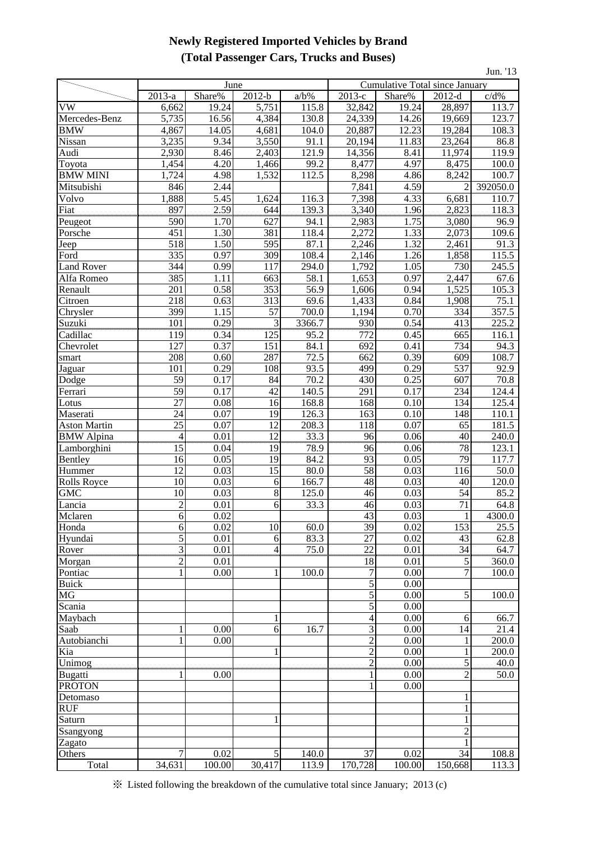## **Newly Registered Imported Vehicles by Brand (Total Passenger Cars, Trucks and Buses)**

| Jun. '13            |                        |              |                           |                     |                 |                                |                     |                |  |
|---------------------|------------------------|--------------|---------------------------|---------------------|-----------------|--------------------------------|---------------------|----------------|--|
|                     |                        | June         |                           |                     |                 | Cumulative Total since January |                     |                |  |
|                     | $2013-a$               | Share%       | $2012-b$                  | $a/b\%$             | $2013-c$        | Share%                         | $2012-d$            | c/d%           |  |
| VW                  | 6,662                  | 19.24        | 5,751                     | 115.8               | 32,842          | 19.24                          | 28,897              | 113.7          |  |
| Mercedes-Benz       | 5,735                  | 16.56        | 4,384                     | 130.8               | 24,339          | 14.26                          | 19,669              | 123.7          |  |
| <b>BMW</b>          | 4,867                  | 14.05        | 4,681                     | 104.0               | 20,887          | 12.23                          | 19,284              | 108.3          |  |
| Nissan              | 3,235                  | 9.34         | 3,550                     | 91.1                | 20,194          | 11.83                          | 23,264              | 86.8           |  |
| Audi                | 2,930                  | 8.46         | 2,403                     | 121.9               | 14,356          | 8.41                           | 11,974              | 119.9          |  |
| Toyota              | 1,454                  | 4.20         | 1,466                     | 99.2                | 8,477           | 4.97                           | 8,475               | 100.0          |  |
| <b>BMW MINI</b>     | 1,724                  | 4.98         | 1,532                     | 112.5               | 8,298           | 4.86                           | 8,242               | 100.7          |  |
| Mitsubishi          | 846                    | 2.44         |                           |                     | 7,841           | 4.59                           | $\overline{c}$      | 392050.0       |  |
| Volvo               | 1,888                  | 5.45         | 1,624                     | 116.3               | 7,398           | 4.33                           | 6,681               | 110.7          |  |
| Fiat                | 897                    | 2.59         | 644                       | 139.3               | 3,340           | 1.96                           | 2,823               | 118.3          |  |
| Peugeot             | 590                    | 1.70         | 627                       | 94.1                | 2,983           | 1.75                           | 3,080               | 96.9           |  |
| Porsche             | 451                    | 1.30         | 381                       | 118.4               | 2,272           | 1.33                           | 2,073               | 109.6          |  |
| Jeep                | 518                    | 1.50         | 595                       | 87.1                | 2,246           | 1.32                           | 2,461               | 91.3           |  |
| Ford                | 335                    | 0.97         | 309                       | 108.4               | 2,146           | 1.26                           | 1,858               | 115.5          |  |
| <b>Land Rover</b>   | 344                    | 0.99         | 117                       | 294.0               | 1,792           | 1.05                           | 730                 | 245.5          |  |
| Alfa Romeo          | 385                    | 1.11         | 663                       | 58.1                | 1,653           | 0.97                           | 2,447               | 67.6           |  |
| Renault             | 201                    | 0.58         | 353                       | 56.9                | 1,606           | 0.94                           | 1,525               | 105.3          |  |
| Citroen             | 218                    | 0.63         | 313                       | 69.6                | 1,433           | 0.84                           | 1,908               | 75.1           |  |
| Chrysler            | 399                    | 1.15         | 57                        | 700.0               | 1,194           | 0.70                           | 334                 | 357.5          |  |
| Suzuki              | 101                    | 0.29         | $\overline{\phantom{0}3}$ | 3366.7              | 930             | 0.54                           | 413                 | 225.2          |  |
| Cadillac            | 119                    | 0.34         | 125                       | 95.2                | 772             | 0.45                           | 665                 | 116.1          |  |
| Chevrolet           | 127                    | 0.37         | 151                       | 84.1                | 692             | 0.41                           | 734                 | 94.3           |  |
| smart               | 208                    | 0.60         | 287                       | 72.5                | 662             | 0.39                           | 609                 | 108.7          |  |
| Jaguar              | 101                    | 0.29         | 108                       | 93.5                | 499             | 0.29                           | 537                 | 92.9           |  |
| Dodge               | 59                     | 0.17         | 84                        | 70.2                | 430             | 0.25                           | 607                 | 70.8           |  |
| Ferrari             | 59                     | 0.17         | 42                        | 140.5               | 291             | 0.17                           | 234                 | 124.4          |  |
| Lotus               | 27                     | 0.08         | 16                        | 168.8               | 168             | 0.10                           | 134                 | 125.4          |  |
| Maserati            | 24                     | 0.07         | 19                        | 126.3               | 163             | 0.10                           | 148                 | 110.1          |  |
| <b>Aston Martin</b> | $\overline{25}$        | 0.07         | 12                        | 208.3               | 118             | 0.07                           | 65                  | 181.5          |  |
| <b>BMW</b> Alpina   | $\overline{4}$<br>ասամ | 0.01         | 12                        | $\frac{33.3}{78.9}$ | $-96$           | 0.06                           | 40<br>ամա           | 240.0<br>123.1 |  |
| Lamborghini         | 15<br>16               | 0.04<br>0.05 | 19<br>19                  | 84.2                | 96<br>93        | 0.06<br>0.05                   | 78<br>79            | 117.7          |  |
| Bentley<br>Hummer   | 12                     | 0.03         | 15                        | 80.0                | 58              | 0.03                           | 116                 | 50.0           |  |
| <b>Rolls Royce</b>  | 10                     | 0.03         | 6                         | 166.7               | 48              | 0.03                           | 40                  | 120.0          |  |
| <b>GMC</b>          | 10                     | 0.03         | 8                         | 125.0               | 46              | 0.03                           | 54                  | 85.2           |  |
| Lancia              | $\overline{c}$         | 0.01         | 6                         | 33.3                | 46              | 0.03                           | 71                  | 64.8           |  |
| Mclaren             | $6 \mid$               | 0.02         |                           |                     | 43              | 0.03                           |                     | 4300.0         |  |
| Honda               | 6                      | 0.02         | 10                        | 60.0                | $\overline{39}$ | 0.02                           | $\mathbf{I}$<br>153 | 25.5           |  |
| Hyundai             | 5                      | 0.01         | 6                         | 83.3                | 27              | 0.02                           | 43                  | 62.8           |  |
| Rover               | $\overline{3}$         | 0.01         | 4                         | 75.0                | 22              | 0.01                           | $\overline{34}$     | 64.7           |  |
| Morgan              | $\overline{c}$         | 0.01         |                           |                     | 18              | 0.01                           | 5                   | 360.0          |  |
| Pontiac             | 1                      | 0.00         |                           | 100.0               | $\overline{7}$  | 0.00                           | $\overline{7}$      | 100.0          |  |
| <b>Buick</b>        |                        |              |                           |                     | 5               | 0.00                           |                     |                |  |
| $\overline{MG}$     |                        |              |                           |                     | 5               | 0.00                           | 5                   | 100.0          |  |
| Scania              |                        |              |                           |                     | $\mathfrak s$   | 0.00                           |                     |                |  |
| Maybach             |                        |              |                           |                     | 4               | 0.00                           | 6                   | 66.7           |  |
| Saab                |                        | 0.00         | 6                         | 16.7                | 3               | 0.00                           | 14                  | 21.4           |  |
| Autobianchi         |                        | 0.00         |                           |                     | $\overline{c}$  | 0.00                           | 1                   | 200.0          |  |
| Kia                 |                        |              |                           |                     | $\overline{c}$  | 0.00                           | $\mathbf{1}$        | 200.0          |  |
| Unimog              |                        |              |                           |                     | $\overline{c}$  | 0.00                           | $\overline{5}$      | 40.0           |  |
| <b>Bugatti</b>      |                        | 0.00         |                           |                     |                 | 0.00                           | 2                   | 50.0           |  |
| <b>PROTON</b>       |                        |              |                           |                     |                 | 0.00                           |                     |                |  |
| Detomaso            |                        |              |                           |                     |                 |                                | 1                   |                |  |
| RUF                 |                        |              |                           |                     |                 |                                | 1                   |                |  |
| Saturn              |                        |              |                           |                     |                 |                                | 1                   |                |  |
| Ssangyong           |                        |              |                           |                     |                 |                                | $\overline{c}$      |                |  |
| Zagato              |                        |              |                           |                     |                 |                                | 1                   |                |  |
| Others              | 7                      | 0.02         | 5                         | 140.0               | 37              | 0.02                           | 34                  | 108.8          |  |
| <b>Total</b>        | 34,631                 | 100.00       | 30,417                    | 113.9               | 170,728         | 100.00                         | 150,668             | 113.3          |  |

※ Listed following the breakdown of the cumulative total since January; 2013 (c)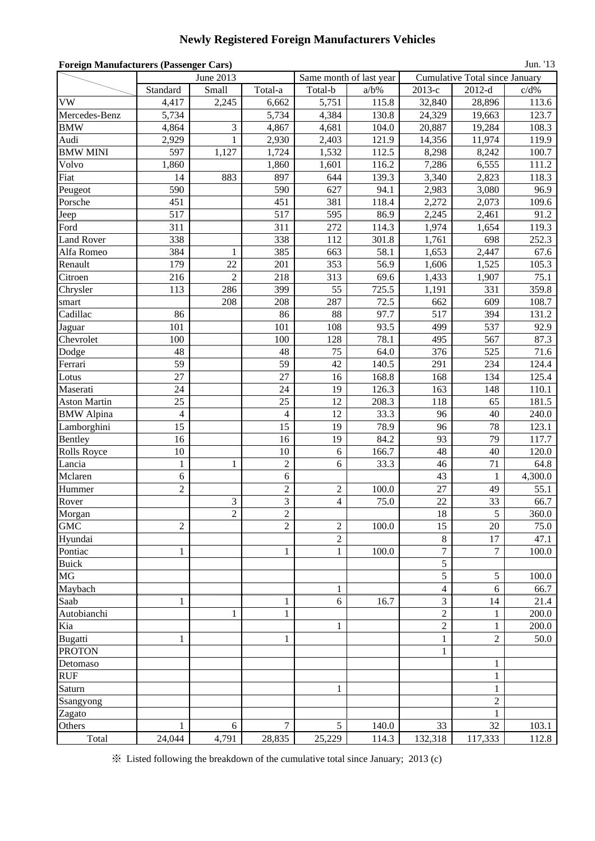# **Newly Registered Foreign Manufacturers Vehicles**

| <b>Foreign Manufacturers (Passenger Cars)</b><br>Jun. '13 |                |                |                   |                  |                         |                  |                                       |           |  |  |  |
|-----------------------------------------------------------|----------------|----------------|-------------------|------------------|-------------------------|------------------|---------------------------------------|-----------|--|--|--|
|                                                           |                | June 2013      |                   |                  | Same month of last year |                  | <b>Cumulative Total since January</b> |           |  |  |  |
|                                                           | Standard       | Small          | Total-a           | Total-b          | $a/b\%$                 | 2013-е           | $2012-d$                              | $c/d\%$   |  |  |  |
| <b>VW</b>                                                 | 4,417          | 2,245          | 6,662             | 5,751            | 115.8                   | 32,840           | 28,896                                | 113.6     |  |  |  |
| Mercedes-Benz                                             | 5,734          |                | 5,734             | 4,384            | 130.8                   | 24,329           | 19,663                                | 123.7     |  |  |  |
| <b>BMW</b>                                                | 4,864          | 3              | 4,867             | 4,681            | 104.0                   | 20,887           | 19,284                                | 108.3     |  |  |  |
| Audi                                                      | 2,929          | 1              | 2,930             | 2,403            | 121.9                   | 14,356           | 11,974                                | 119.9     |  |  |  |
| <b>BMW MINI</b>                                           | 597            | 1,127          | 1,724             | 1,532            | 112.5                   | 8,298            | 8,242                                 | 100.7     |  |  |  |
| Volvo                                                     | 1,860          |                | 1,860             | 1,601            | 116.2                   | 7,286            | 6,555                                 | 111.2     |  |  |  |
| Fiat                                                      | 14             | 883            | 897               | 644              | 139.3                   | 3,340            | 2,823                                 | 118.3     |  |  |  |
| Peugeot                                                   | 590            |                | 590               | 627              | 94.1                    | 2,983            | 3,080                                 | 96.9      |  |  |  |
| Porsche                                                   | 451            |                | 451               | 381              | 118.4                   | 2,272            | 2,073                                 | 109.6     |  |  |  |
| Jeep                                                      | 517            |                | 517               | 595              | 86.9                    | 2,245            | 2,461                                 | 91.2      |  |  |  |
| Ford                                                      | 311            |                | 311               | 272              | 114.3                   | 1,974            | 1,654                                 | 119.3     |  |  |  |
| <b>Land Rover</b>                                         | 338            |                | 338               | 112              | 301.8                   | 1,761            | 698                                   | 252.3     |  |  |  |
| Alfa Romeo                                                | 384            | 1              | 385               | 663              | 58.1                    | 1,653            | 2,447                                 | 67.6      |  |  |  |
| Renault                                                   | 179            | 22             | 201               | 353              | 56.9                    | 1,606            | 1,525                                 | 105.3     |  |  |  |
| Citroen                                                   | 216            | $\overline{c}$ | 218               | 313              | 69.6                    | 1,433            | 1,907                                 | 75.1      |  |  |  |
| Chrysler                                                  | 113            | 286            | 399               | 55               | 725.5                   | 1,191            | 331                                   | 359.8     |  |  |  |
| smart                                                     |                | 208            | 208               | 287              | 72.5                    | 662              | 609                                   | 108.7     |  |  |  |
| Cadillac                                                  | 86             |                | 86                | 88               | 97.7                    | 517              | 394                                   | 131.2     |  |  |  |
| Jaguar                                                    | 101            |                | 101               | 108              | 93.5                    | 499              | 537                                   | 92.9      |  |  |  |
| Chevrolet                                                 | 100            |                | 100               | 128              | 78.1                    | 495              | 567                                   | 87.3      |  |  |  |
| Dodge                                                     | 48             |                | 48                | 75               | 64.0                    | 376              | 525                                   | 71.6      |  |  |  |
| Ferrari                                                   | 59             |                | 59                | 42               | 140.5                   | 291              | 234                                   | 124.4     |  |  |  |
| Lotus                                                     | 27             |                | 27                | 16               | 168.8                   | 168              | 134                                   | 125.4     |  |  |  |
| Maserati                                                  | 24             |                | 24                | 19               | 126.3                   | 163              | 148                                   | 110.1     |  |  |  |
| <b>Aston Martin</b>                                       | 25             |                | 25                | 12               | 208.3                   | 118              | 65                                    | 181.5     |  |  |  |
| <b>BMW</b> Alpina                                         | $\overline{4}$ |                | $\overline{4}$    | 12               | 33.3                    | 96               | 40                                    | 240.0     |  |  |  |
| Lamborghini                                               | 15             |                | 15                | 19               | 78.9                    | 96               | 78                                    | 123.1     |  |  |  |
| Bentley                                                   | 16             |                | 16                | 19               | 84.2                    | 93               | 79                                    | 117.7     |  |  |  |
| Rolls Royce                                               | 10             |                | 10                | 6                | 166.7                   | 48               | 40                                    | 120.0     |  |  |  |
| Lancia                                                    | $\mathbf{1}$   | 1              | $\overline{c}$    | 6                | 33.3                    | 46               | 71                                    | 64.8      |  |  |  |
| Mclaren                                                   | 6              |                | 6                 |                  |                         | 43               | 1                                     | 4,300.0   |  |  |  |
| Hummer                                                    | $\overline{2}$ |                | $\overline{c}$    | $\boldsymbol{2}$ | 100.0                   | 27               | 49                                    | 55.1      |  |  |  |
| Rover                                                     |                | $\mathfrak{Z}$ | 3                 | $\overline{4}$   | 75.0                    | 22               | 33                                    | 66.7      |  |  |  |
| Morgan                                                    |                | $\overline{2}$ | $\mathfrak 2$     |                  |                         | 18               | 5                                     | 360.0     |  |  |  |
| <b>GMC</b>                                                | $\overline{2}$ |                | $\overline{2}$    | $\overline{c}$   | 100.0                   | 15               | 20                                    | 75.0      |  |  |  |
| Hyundai                                                   |                |                |                   | $\overline{c}$   |                         | 8                | 17                                    | 47.1      |  |  |  |
| Pontiac                                                   | $\mathbf{1}$   |                | $\mathbf{1}$      | $\mathbf{1}$     | 100.0                   | $\boldsymbol{7}$ | 7                                     | $100.0\,$ |  |  |  |
| <b>Buick</b>                                              |                |                |                   |                  |                         | 5                |                                       |           |  |  |  |
| $\rm MG$                                                  |                |                |                   |                  |                         | 5                | 5                                     | 100.0     |  |  |  |
| Maybach                                                   |                |                |                   | $\mathbf{1}$     |                         | $\overline{4}$   | 6                                     | 66.7      |  |  |  |
| Saab                                                      |                |                |                   | 6                | 16.7                    | 3                | 14                                    | 21.4      |  |  |  |
| Autobianchi                                               |                | 1              | 1<br>$\mathbf{1}$ |                  |                         | $\overline{2}$   | 1                                     | 200.0     |  |  |  |
| Kia                                                       |                |                |                   | $\mathbf{1}$     |                         | $\overline{c}$   | 1                                     | 200.0     |  |  |  |
| Bugatti                                                   |                |                |                   |                  |                         |                  | $\overline{2}$                        | 50.0      |  |  |  |
|                                                           | $\mathbf{1}$   |                | $\mathbf{1}$      |                  |                         | $\mathbf{1}$     |                                       |           |  |  |  |
| <b>PROTON</b>                                             |                |                |                   |                  |                         | 1                |                                       |           |  |  |  |
| Detomaso                                                  |                |                |                   |                  |                         |                  | $\mathbf{1}$                          |           |  |  |  |
| <b>RUF</b>                                                |                |                |                   |                  |                         |                  | 1                                     |           |  |  |  |
| Saturn                                                    |                |                |                   | $\mathbf{1}$     |                         |                  | 1                                     |           |  |  |  |
| Ssangyong                                                 |                |                |                   |                  |                         |                  | $\overline{c}$                        |           |  |  |  |
| Zagato                                                    |                |                |                   |                  |                         |                  | 1<br>unnu                             |           |  |  |  |
| Others                                                    |                | 6              |                   | 5                | 140.0                   | 33               | 32                                    | 103.1     |  |  |  |
| Total                                                     | 24,044         | 4,791          | 28,835            | 25,229           | 114.3                   | 132,318          | 117,333                               | 112.8     |  |  |  |

※ Listed following the breakdown of the cumulative total since January; 2013 (c)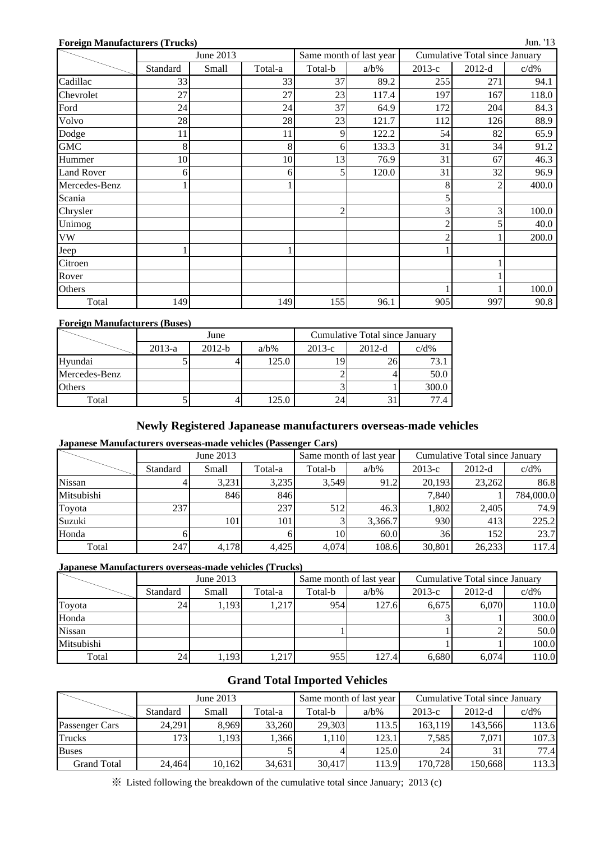#### **Foreign Manufacturers (Trucks)**

|                   |          | June 2013 |         |                | Same month of last year |          | <b>Cumulative Total since January</b> |         |
|-------------------|----------|-----------|---------|----------------|-------------------------|----------|---------------------------------------|---------|
|                   | Standard | Small     | Total-a | Total-b        | $a/b\%$                 | $2013-c$ | $2012-d$                              | $c/d\%$ |
| Cadillac          | 33       |           | 33      | 37             | 89.2                    | 255      | 271                                   | 94.1    |
| Chevrolet         | 27       |           | 27      | 23             | 117.4                   | 197      | 167                                   | 118.0   |
| Ford              | 24       |           | 24      | 37             | 64.9                    | 172      | 204                                   | 84.3    |
| Volvo             | 28       |           | 28      | 23             | 121.7                   | 112      | 126                                   | 88.9    |
| Dodge             | 11       |           | 11      | 9              | 122.2                   | 54       | 82                                    | 65.9    |
| <b>GMC</b>        | 8        |           | 8       | 6              | 133.3                   | 31       | 34                                    | 91.2    |
| Hummer            | 10       |           | 10      | 13             | 76.9                    | 31       | 67                                    | 46.3    |
| <b>Land Rover</b> | 6        |           | 6       | 5              | 120.0                   | 31       | 32                                    | 96.9    |
| Mercedes-Benz     |          |           |         |                |                         | 8        | 2                                     | 400.0   |
| Scania            |          |           |         |                |                         | 5        |                                       |         |
| Chrysler          |          |           |         | $\overline{c}$ |                         | 3        | 3                                     | 100.0   |
| Unimog            |          |           |         |                |                         | 2        | 5                                     | 40.0    |
| VW                |          |           |         |                |                         | 2        |                                       | 200.0   |
| Jeep              |          |           |         |                |                         |          |                                       |         |
| Citroen           |          |           |         |                |                         |          |                                       |         |
| Rover             |          |           |         |                |                         |          |                                       |         |
| Others            |          |           |         |                |                         |          |                                       | 100.0   |
| Total             | 149      |           | 149     | 155            | 96.1                    | 905      | 997                                   | 90.8    |

### **Foreign Manufacturers (Buses)**

|               |          | June     |         | Cumulative Total since January |          |         |  |  |
|---------------|----------|----------|---------|--------------------------------|----------|---------|--|--|
|               | $2013-a$ | $2012-b$ | $a/b\%$ | $2013-c$                       | $2012-d$ | $c/d\%$ |  |  |
| Hyundai       |          |          | 125.0   |                                |          | 73.     |  |  |
| Mercedes-Benz |          |          |         |                                |          | 50.0    |  |  |
| <b>Others</b> |          |          |         |                                |          | 300.0   |  |  |
| Total         |          |          | 125.0   | 24.                            |          |         |  |  |

### **Newly Registered Japanease manufacturers overseas-made vehicles**

### **Japanese Manufacturers overseas-made vehicles (Passenger Cars)**

|            |          | June 2013 |         |         | Same month of last year | Cumulative Total since January |          |           |  |
|------------|----------|-----------|---------|---------|-------------------------|--------------------------------|----------|-----------|--|
|            | Standard | Small     | Total-a | Total-b | $a/b\%$                 | $2013-c$                       | $2012-d$ | $c/d\%$   |  |
| Nissan     |          | 3.231     | 3,235   | 3,549   | 91.2                    | 20.193                         | 23,262   | 86.8      |  |
| Mitsubishi |          | 846       | 846     |         |                         | 7,840                          |          | 784,000.0 |  |
| Toyota     | 237      |           | 237     | 512     | 46.3                    | 1,802                          | 2.405    | 74.9      |  |
| Suzuki     |          | 101       | 101     |         | 3,366.7                 | 930                            | 413      | 225.2     |  |
| Honda      |          |           |         | 10      | 60.0                    | 36                             | 152      | 23.7      |  |
| Total      | 247      | 4,178     | 4,425   | 4,074   | 108.6                   | 30,801                         | 26,233   | 117.4     |  |

#### **Japanese Manufacturers overseas-made vehicles (Trucks)**

|               |          | June 2013 |         |         | Same month of last year | Cumulative Total since January |          |         |  |
|---------------|----------|-----------|---------|---------|-------------------------|--------------------------------|----------|---------|--|
|               | Standard | Small     | Total-a | Total-b | $a/b\%$                 | $2013-c$                       | $2012-d$ | $c/d\%$ |  |
| Toyota        | 24       | 1,193     | 1,217   | 954     | 127.6                   | 6.675                          | 6.070    | 110.0   |  |
| Honda         |          |           |         |         |                         |                                |          | 300.0   |  |
| <b>Nissan</b> |          |           |         |         |                         |                                |          | 50.0    |  |
| Mitsubishi    |          |           |         |         |                         |                                |          | 100.0   |  |
| Total         | 241      | 1,193     | ,217    | 955     | 127.4                   | 6.680                          | 6.074    | 110.0   |  |

### **Grand Total Imported Vehicles**

|                    |          | June 2013 |         |         | Same month of last year | Cumulative Total since January |          |         |  |
|--------------------|----------|-----------|---------|---------|-------------------------|--------------------------------|----------|---------|--|
|                    | Standard | Small     | Total-a | Total-b | $a/b\%$                 | $2013-c$                       | $2012-d$ | $c/d\%$ |  |
| Passenger Cars     | 24.291   | 8,969     | 33,260  | 29,303  | 113.5                   | 163.119                        | 143.566  | 113.6   |  |
| <b>Trucks</b>      | 1731     | - 1931، ، | 1.366   | 1.110   | 123.1                   | 7.585                          | 7.071    | 107.3   |  |
| <b>Buses</b>       |          |           |         |         | 125.0                   | 24                             |          | 77.4    |  |
| <b>Grand Total</b> | 24,464   | 10,162    | 34.631  | 30,417  | 113.9                   | 170,728                        | 150,668  | 113.3   |  |

※ Listed following the breakdown of the cumulative total since January; 2013 (c)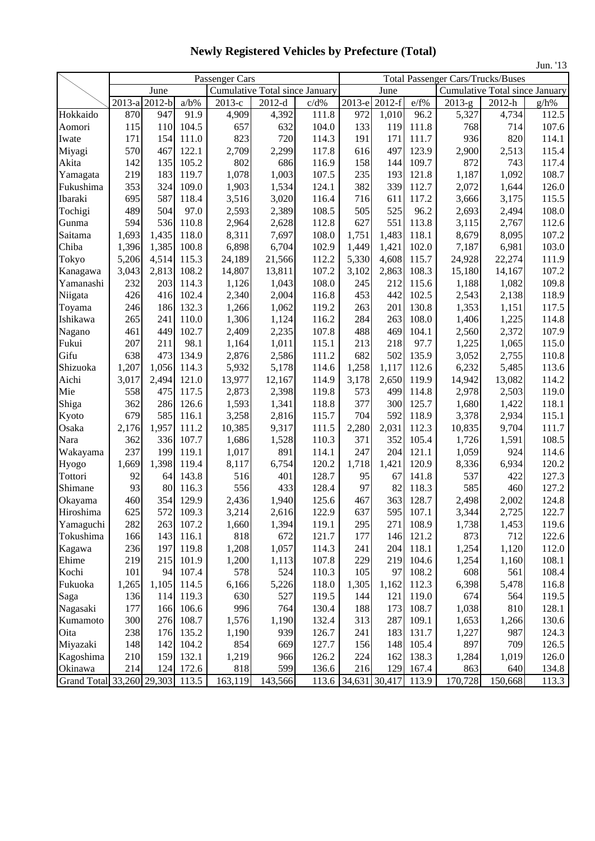|                                 |        |          |         |                                |          |       |                     |          |       |          |                                          | Jun. '13 |  |
|---------------------------------|--------|----------|---------|--------------------------------|----------|-------|---------------------|----------|-------|----------|------------------------------------------|----------|--|
|                                 |        |          |         | Passenger Cars                 |          |       |                     |          |       |          | <b>Total Passenger Cars/Trucks/Buses</b> |          |  |
|                                 |        | June     |         | Cumulative Total since January |          |       |                     | June     |       |          | <b>Cumulative Total since January</b>    |          |  |
|                                 | 2013-a | $2012-b$ | $a/b\%$ | 2013-е                         | $2012-d$ | c/d%  | 2013-е              | $2012-f$ | e/f%  | $2013-g$ | 2012-h                                   | $g/h\%$  |  |
| Hokkaido                        | 870    | 947      | 91.9    | 4,909                          | 4,392    | 111.8 | 972                 | 1,010    | 96.2  | 5,327    | 4,734                                    | 112.5    |  |
| Aomori                          | 115    | 110      | 104.5   | 657                            | 632      | 104.0 | 133                 | 119      | 111.8 | 768      | 714                                      | 107.6    |  |
| Iwate                           | 171    | 154      | 111.0   | 823                            | 720      | 114.3 | 191                 | 171      | 111.7 | 936      | 820                                      | 114.1    |  |
| Miyagi                          | 570    | 467      | 122.1   | 2,709                          | 2,299    | 117.8 | 616                 | 497      | 123.9 | 2,900    | 2,513                                    | 115.4    |  |
| Akita                           | 142    | 135      | 105.2   | 802                            | 686      | 116.9 | 158                 | 144      | 109.7 | 872      | 743                                      | 117.4    |  |
| Yamagata                        | 219    | 183      | 119.7   | 1,078                          | 1,003    | 107.5 | 235                 | 193      | 121.8 | 1,187    | 1,092                                    | 108.7    |  |
| Fukushima                       | 353    | 324      | 109.0   | 1,903                          | 1,534    | 124.1 | 382                 | 339      | 112.7 | 2,072    | 1,644                                    | 126.0    |  |
| Ibaraki                         | 695    | 587      | 118.4   | 3,516                          | 3,020    | 116.4 | 716                 | 611      | 117.2 | 3,666    | 3,175                                    | 115.5    |  |
| Tochigi                         | 489    | 504      | 97.0    | 2,593                          | 2,389    | 108.5 | 505                 | 525      | 96.2  | 2,693    | 2,494                                    | 108.0    |  |
| Gunma                           | 594    | 536      | 110.8   | 2,964                          | 2,628    | 112.8 | 627                 | 551      | 113.8 | 3,115    | 2,767                                    | 112.6    |  |
| Saitama                         | 1,693  | 1,435    | 118.0   | 8,311                          | 7,697    | 108.0 | 1,751               | 1,483    | 118.1 | 8,679    | 8,095                                    | 107.2    |  |
| Chiba                           | 1,396  | 1,385    | 100.8   | 6,898                          | 6,704    | 102.9 | 1,449               | 1,421    | 102.0 | 7,187    | 6,981                                    | 103.0    |  |
| Tokyo                           | 5,206  | 4,514    | 115.3   | 24,189                         | 21,566   | 112.2 | 5,330               | 4,608    | 115.7 | 24,928   | 22,274                                   | 111.9    |  |
| Kanagawa                        | 3,043  | 2,813    | 108.2   | 14,807                         | 13,811   | 107.2 | 3,102               | 2,863    | 108.3 | 15,180   | 14,167                                   | 107.2    |  |
| Yamanashi                       | 232    | 203      | 114.3   | 1,126                          | 1,043    | 108.0 | 245                 | 212      | 115.6 | 1,188    | 1,082                                    | 109.8    |  |
| Niigata                         | 426    | 416      | 102.4   | 2,340                          | 2,004    | 116.8 | 453                 | 442      | 102.5 | 2,543    | 2,138                                    | 118.9    |  |
| Toyama                          | 246    | 186      | 132.3   | 1,266                          | 1,062    | 119.2 | 263                 | 201      | 130.8 | 1,353    | 1,151                                    | 117.5    |  |
| Ishikawa                        | 265    | 241      | 110.0   | 1,306                          | 1,124    | 116.2 | 284                 | 263      | 108.0 | 1,406    | 1,225                                    | 114.8    |  |
| Nagano                          | 461    | 449      | 102.7   | 2,409                          | 2,235    | 107.8 | 488                 | 469      | 104.1 | 2,560    | 2,372                                    | 107.9    |  |
| Fukui                           | 207    | 211      | 98.1    | 1,164                          | 1,011    | 115.1 | 213                 | 218      | 97.7  | 1,225    | 1,065                                    | 115.0    |  |
| Gifu                            | 638    | 473      | 134.9   | 2,876                          | 2,586    | 111.2 | 682                 | 502      | 135.9 | 3,052    | 2,755                                    | 110.8    |  |
| Shizuoka                        | 1,207  | 1,056    | 114.3   | 5,932                          | 5,178    | 114.6 | 1,258               | 1,117    | 112.6 | 6,232    | 5,485                                    | 113.6    |  |
| Aichi                           | 3,017  | 2,494    | 121.0   | 13,977                         | 12,167   | 114.9 | 3,178               | 2,650    | 119.9 | 14,942   | 13,082                                   | 114.2    |  |
| Mie                             | 558    | 475      | 117.5   | 2,873                          | 2,398    | 119.8 | 573                 | 499      | 114.8 | 2,978    | 2,503                                    | 119.0    |  |
| Shiga                           | 362    | 286      | 126.6   | 1,593                          | 1,341    | 118.8 | 377                 | 300      | 125.7 | 1,680    | 1,422                                    | 118.1    |  |
| Kyoto                           | 679    | 585      | 116.1   | 3,258                          | 2,816    | 115.7 | 704                 | 592      | 118.9 | 3,378    | 2,934                                    | 115.1    |  |
| Osaka                           | 2,176  | 1,957    | 111.2   | 10,385                         | 9,317    | 111.5 | 2,280               | 2,031    | 112.3 | 10,835   | 9,704                                    | 111.7    |  |
| Nara                            | 362    | 336      | 107.7   | 1,686                          | 1,528    | 110.3 | 371                 | 352      | 105.4 | 1,726    | 1,591                                    | 108.5    |  |
| Wakayama                        | 237    | 199      | 119.1   | 1,017                          | 891      | 114.1 | 247                 | 204      | 121.1 | 1,059    | 924                                      | 114.6    |  |
| Hyogo                           | 1,669  | 1,398    | 119.4   | 8,117                          | 6,754    | 120.2 | 1,718               | 1,421    | 120.9 | 8,336    | 6,934                                    | 120.2    |  |
| Tottori                         | 92     | 64       | 143.8   | 516                            | 401      | 128.7 | 95                  | 67       | 141.8 | 537      | 422                                      | 127.3    |  |
| Shimane                         | 93     | 80       | 116.3   | 556                            | 433      | 128.4 | 97                  | 82       | 118.3 | 585      | 460                                      | 127.2    |  |
| Okayama                         | 460    | 354      | 129.9   | 2,436                          | 1,940    | 125.6 | 467                 | 363      | 128.7 | 2,498    | 2,002                                    | 124.8    |  |
| Hiroshima                       | 625    | 572      | 109.3   | 3,214                          | 2,616    | 122.9 | 637                 | 595      | 107.1 | 3,344    | 2,725                                    | 122.7    |  |
| Yamaguchi                       | 282    | 263      | 107.2   | 1,660                          | 1,394    | 119.1 | 295                 | 271      | 108.9 | 1,738    | 1,453                                    | 119.6    |  |
| Tokushima                       | 166    | 143      | 116.1   | 818                            | 672      | 121.7 | 177                 | 146      | 121.2 | 873      | 712                                      | 122.6    |  |
| Kagawa                          | 236    | 197      | 119.8   | 1,208                          | 1,057    | 114.3 | 241                 | 204      | 118.1 | 1,254    | 1,120                                    | 112.0    |  |
| Ehime                           | 219    | 215      | 101.9   | 1,200                          | 1,113    | 107.8 | 229                 | 219      | 104.6 | 1,254    | 1,160                                    | 108.1    |  |
| Kochi                           | 101    | 94       | 107.4   | 578                            | 524      | 110.3 | 105                 | 97       | 108.2 | 608      | 561                                      | 108.4    |  |
| Fukuoka                         | 1,265  | 1,105    | 114.5   | 6,166                          | 5,226    | 118.0 | 1,305               | 1,162    | 112.3 | 6,398    | 5,478                                    | 116.8    |  |
| Saga                            | 136    | 114      | 119.3   | 630                            | 527      | 119.5 | 144                 | 121      | 119.0 | 674      | 564                                      | 119.5    |  |
| Nagasaki                        | 177    | 166      | 106.6   | 996                            | 764      | 130.4 | 188                 | 173      | 108.7 | 1,038    | 810                                      | 128.1    |  |
| Kumamoto                        | 300    | 276      | 108.7   | 1,576                          | 1,190    | 132.4 | 313                 | 287      | 109.1 | 1,653    | 1,266                                    | 130.6    |  |
| Oita                            | 238    | 176      | 135.2   | 1,190                          | 939      | 126.7 | 241                 | 183      | 131.7 | 1,227    | 987                                      | 124.3    |  |
| Miyazaki                        | 148    | 142      | 104.2   | 854                            | 669      | 127.7 | 156                 | 148      | 105.4 | 897      | 709                                      | 126.5    |  |
| Kagoshima                       | 210    | 159      | 132.1   | 1,219                          | 966      | 126.2 | 224                 | 162      | 138.3 | 1,284    | 1,019                                    | 126.0    |  |
| Okinawa                         | 214    | 124      | 172.6   | 818                            | 599      | 136.6 | 216                 | 129      | 167.4 | 863      | 640                                      | 134.8    |  |
| Grand Total 33,260 29,303 113.5 |        |          |         | 163,119                        | 143,566  |       | 113.6 34,631 30,417 |          | 113.9 | 170,728  | 150,668                                  | 113.3    |  |

**Newly Registered Vehicles by Prefecture (Total)**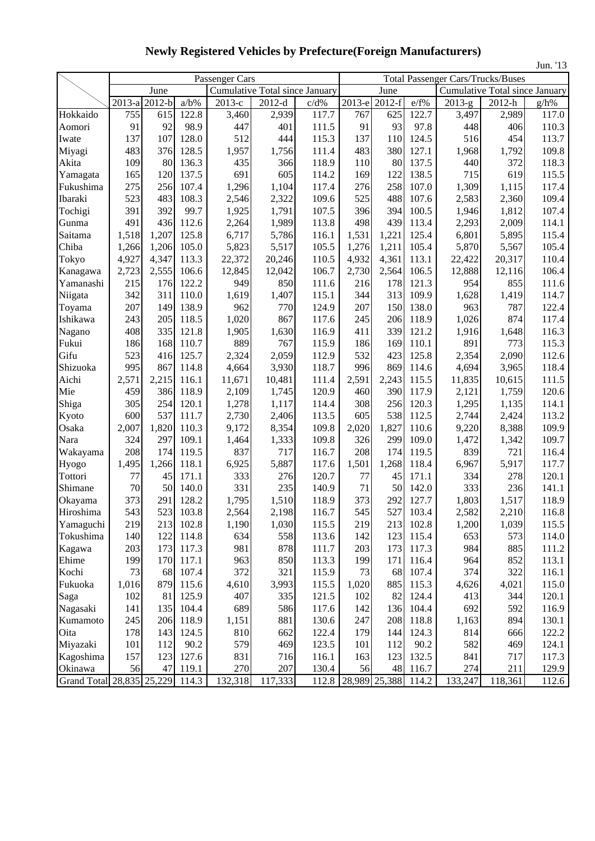|                           |                      |          |         |                |                                |       |        |                      |       |          |                                          | Jun. '13 |
|---------------------------|----------------------|----------|---------|----------------|--------------------------------|-------|--------|----------------------|-------|----------|------------------------------------------|----------|
|                           |                      |          |         | Passenger Cars |                                |       |        |                      |       |          | <b>Total Passenger Cars/Trucks/Buses</b> |          |
|                           |                      | June     |         |                | Cumulative Total since January |       |        | June                 |       |          | Cumulative Total since January           |          |
|                           | $\overline{2013}$ -a | $2012-b$ | $a/b\%$ | $2013-c$       | $2012-d$                       | c/d%  | 2013-е | $\overline{2012}$ -f | e/f%  | $2013-g$ | 2012-h                                   | g/h%     |
| Hokkaido                  | 755                  | 615      | 122.8   | 3,460          | 2,939                          | 117.7 | 767    | 625                  | 122.7 | 3,497    | 2,989                                    | 117.0    |
| Aomori                    | 91                   | 92       | 98.9    | 447            | 401                            | 111.5 | 91     | 93                   | 97.8  | 448      | 406                                      | 110.3    |
| Iwate                     | 137                  | 107      | 128.0   | 512            | 444                            | 115.3 | 137    | 110                  | 124.5 | 516      | 454                                      | 113.7    |
| Miyagi                    | 483                  | 376      | 128.5   | 1,957          | 1,756                          | 111.4 | 483    | 380                  | 127.1 | 1,968    | 1,792                                    | 109.8    |
| Akita                     | 109                  | 80       | 136.3   | 435            | 366                            | 118.9 | 110    | 80                   | 137.5 | 440      | 372                                      | 118.3    |
| Yamagata                  | 165                  | 120      | 137.5   | 691            | 605                            | 114.2 | 169    | 122                  | 138.5 | 715      | 619                                      | 115.5    |
| Fukushima                 | 275                  | 256      | 107.4   | 1,296          | 1,104                          | 117.4 | 276    | 258                  | 107.0 | 1,309    | 1,115                                    | 117.4    |
| Ibaraki                   | 523                  | 483      | 108.3   | 2,546          | 2,322                          | 109.6 | 525    | 488                  | 107.6 | 2,583    | 2,360                                    | 109.4    |
| Tochigi                   | 391                  | 392      | 99.7    | 1,925          | 1,791                          | 107.5 | 396    | 394                  | 100.5 | 1,946    | 1,812                                    | 107.4    |
| Gunma                     | 491                  | 436      | 112.6   | 2,264          | 1,989                          | 113.8 | 498    | 439                  | 113.4 | 2,293    | 2,009                                    | 114.1    |
| Saitama                   | 1,518                | 1,207    | 125.8   | 6,717          | 5,786                          | 116.1 | 1,531  | 1,221                | 125.4 | 6,801    | 5,895                                    | 115.4    |
| Chiba                     | 1,266                | 1,206    | 105.0   | 5,823          | 5,517                          | 105.5 | 1,276  | 1,211                | 105.4 | 5,870    | 5,567                                    | 105.4    |
| Tokyo                     | 4,927                | 4,347    | 113.3   | 22,372         | 20,246                         | 110.5 | 4,932  | 4,361                | 113.1 | 22,422   | 20,317                                   | 110.4    |
| Kanagawa                  | 2,723                | 2,555    | 106.6   | 12,845         | 12,042                         | 106.7 | 2,730  | 2,564                | 106.5 | 12,888   | 12,116                                   | 106.4    |
| Yamanashi                 | 215                  | 176      | 122.2   | 949            | 850                            | 111.6 | 216    | 178                  | 121.3 | 954      | 855                                      | 111.6    |
| Niigata                   | 342                  | 311      | 110.0   | 1,619          | 1,407                          | 115.1 | 344    | 313                  | 109.9 | 1,628    | 1,419                                    | 114.7    |
| Toyama                    | 207                  | 149      | 138.9   | 962            | 770                            | 124.9 | 207    | 150                  | 138.0 | 963      | 787                                      | 122.4    |
| Ishikawa                  | 243                  | 205      | 118.5   | 1,020          | 867                            | 117.6 | 245    | 206                  | 118.9 | 1,026    | 874                                      | 117.4    |
| Nagano                    | 408                  | 335      | 121.8   | 1,905          | 1,630                          | 116.9 | 411    | 339                  | 121.2 | 1,916    | 1,648                                    | 116.3    |
| Fukui                     | 186                  | 168      | 110.7   | 889            | 767                            | 115.9 | 186    | 169                  | 110.1 | 891      | 773                                      | 115.3    |
| Gifu                      | 523                  | 416      | 125.7   | 2,324          | 2,059                          | 112.9 | 532    | 423                  | 125.8 | 2,354    | 2,090                                    | 112.6    |
| Shizuoka                  | 995                  | 867      | 114.8   | 4,664          | 3,930                          | 118.7 | 996    | 869                  | 114.6 | 4,694    | 3,965                                    | 118.4    |
| Aichi                     | 2,571                | 2,215    | 116.1   | 11,671         | 10,481                         | 111.4 | 2,591  | 2,243                | 115.5 | 11,835   | 10,615                                   | 111.5    |
| Mie                       | 459                  | 386      | 118.9   | 2,109          | 1,745                          | 120.9 | 460    | 390                  | 117.9 | 2,121    | 1,759                                    | 120.6    |
| Shiga                     | 305                  | 254      | 120.1   | 1,278          | 1,117                          | 114.4 | 308    | 256                  | 120.3 | 1,295    | 1,135                                    | 114.1    |
| Kyoto                     | 600                  | 537      | 111.7   | 2,730          | 2,406                          | 113.5 | 605    | 538                  | 112.5 | 2,744    | 2,424                                    | 113.2    |
| Osaka                     | 2,007                | 1,820    | 110.3   | 9,172          | 8,354                          | 109.8 | 2,020  | 1,827                | 110.6 | 9,220    | 8,388                                    | 109.9    |
| Nara                      | 324                  | 297      | 109.1   | 1,464          | 1,333                          | 109.8 | 326    | 299                  | 109.0 | 1,472    | 1,342                                    | 109.7    |
| Wakayama                  | 208                  | 174      | 119.5   | 837            | 717                            | 116.7 | 208    | 174                  | 119.5 | 839      | 721                                      | 116.4    |
| Hyogo                     | 1,495                | 1,266    | 118.1   | 6,925          | 5,887                          | 117.6 | 1,501  | 1,268                | 118.4 | 6,967    | 5,917                                    | 117.7    |
| Tottori                   | 77                   | 45       | 171.1   | 333            | 276                            | 120.7 | 77     | 45                   | 171.1 | 334      | 278                                      | 120.1    |
| Shimane                   | 70                   | 50       | 140.0   | 331            | 235                            | 140.9 | 71     | 50                   | 142.0 | 333      | 236                                      | 141.1    |
| Okayama                   | 373                  | 291      | 128.2   | 1,795          | 1,510                          | 118.9 | 373    | 292                  | 127.7 | 1,803    | 1,517                                    | 118.9    |
| Hiroshima                 | 543                  | 523      | 103.8   | 2,564          | 2,198                          | 116.7 | 545    | 527                  | 103.4 | 2,582    | 2,210                                    | 116.8    |
| Yamaguchi                 | 219                  | 213      | 102.8   | 1,190          | 1,030                          | 115.5 | 219    | 213                  | 102.8 | 1,200    | 1,039                                    | 115.5    |
| Tokushima                 | 140                  | 122      | 114.8   | 634            | 558                            | 113.6 | 142    | 123                  | 115.4 | 653      | 573                                      | 114.0    |
| Kagawa                    | 203                  | 173      | 117.3   | 981            | 878                            | 111.7 | 203    | 173                  | 117.3 | 984      | 885                                      | 111.2    |
| Ehime                     | 199                  | 170      | 117.1   | 963            | 850                            | 113.3 | 199    | 171                  | 116.4 | 964      | 852                                      | 113.1    |
| Kochi                     | 73                   | 68       | 107.4   | 372            | 321                            | 115.9 | 73     | 68                   | 107.4 | 374      | 322                                      | 116.1    |
| Fukuoka                   | 1,016                | 879      | 115.6   | 4,610          | 3,993                          | 115.5 | 1,020  | 885                  | 115.3 | 4,626    | 4,021                                    | 115.0    |
| Saga                      | 102                  | 81       | 125.9   | 407            | 335                            | 121.5 | 102    | 82                   | 124.4 | 413      | 344                                      | 120.1    |
| Nagasaki                  | 141                  | 135      | 104.4   | 689            | 586                            | 117.6 | 142    | 136                  | 104.4 | 692      | 592                                      | 116.9    |
| Kumamoto                  | 245                  | 206      | 118.9   | 1,151          | 881                            | 130.6 | 247    | 208                  | 118.8 | 1,163    | 894                                      | 130.1    |
| Oita                      | 178                  | 143      | 124.5   | 810            | 662                            | 122.4 | 179    | 144                  | 124.3 | 814      | 666                                      | 122.2    |
| Miyazaki                  | 101                  | 112      | 90.2    | 579            | 469                            | 123.5 | 101    | 112                  | 90.2  | 582      | 469                                      | 124.1    |
| Kagoshima                 | 157                  | 123      | 127.6   | 831            | 716                            | 116.1 | 163    | 123                  | 132.5 | 841      | 717                                      | 117.3    |
| Okinawa                   | 56                   | 47       | 119.1   | 270            | 207                            | 130.4 | 56     | 48                   | 116.7 | 274      | 211                                      | 129.9    |
| Grand Total 28,835 25,229 |                      |          | 114.3   | 132,318        | 117,333                        | 112.8 |        | 28,989 25,388        | 114.2 | 133,247  | 118,361                                  | 112.6    |

**Newly Registered Vehicles by Prefecture(Foreign Manufacturers)**